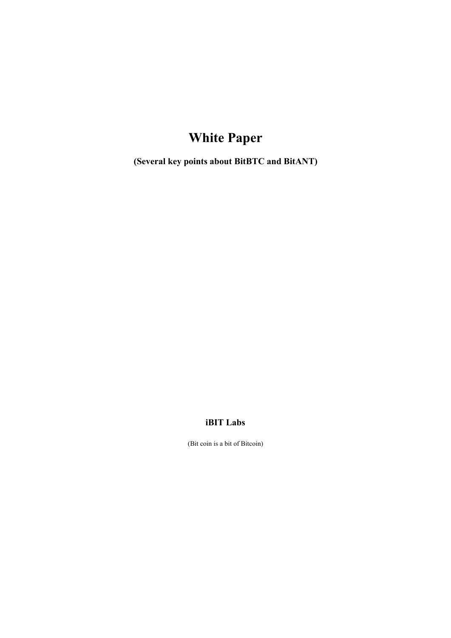# **White Paper**

**(Several key points about BitBTC and BitANT)**

## **iBIT Labs**

(Bit coin is a bit of Bitcoin)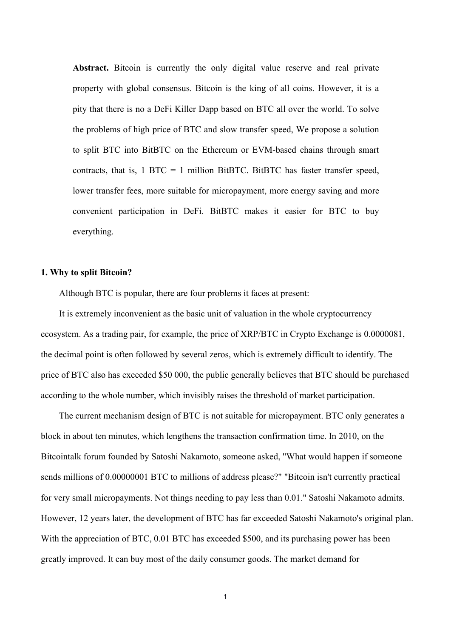Abstract. Bitcoin is currently the only digital value reserve and real private property with global consensus. Bitcoin is the king of all coins. However, it is a pity that there is no a DeFi Killer Dapp based on BTC all over the world. To solve the problems of high price of BTC and slow transfer speed, We propose a solution to split BTC into BitBTC on the Ethereum or EVM-based chains through smart contracts, that is,  $1 \text{ BTC} = 1 \text{ million BitBTC}$ . BitBTC has faster transfer speed, lower transfer fees, more suitable for micropayment, more energy saving and more convenient participation in DeFi. BitBTC makes it easier for BTC to buy everything.

### **1. Why to splitBitcoin?**

Although BTC is popular, there are four problems it faces at present:

It is extremely inconvenient as the basic unit of valuation in the whole cryptocurrency ecosystem. As a trading pair, for example, the price of XRP/BTC in Crypto Exchange is 0.0000081, the decimal point is often followed by several zeros, which is extremely difficult to identify. The price of BTC also has exceeded \$50 000, the public generally believes that BTC should be purchased according to the whole number, which invisibly raises the threshold of market participation.

The current mechanism design of BTC is not suitable for micropayment. BTC only generates a block in about ten minutes, which lengthens the transaction confirmation time. In 2010, on the Bitcointalk forum founded by Satoshi Nakamoto, someone asked, "What would happen if someone sends millions of 0.00000001 BTC to millions of address please?" "Bitcoin isn't currently practical for very small micropayments. Not things needing to pay less than 0.01." Satoshi Nakamoto admits. However, 12 years later, the development of BTC has far exceeded Satoshi Nakamoto's original plan. With the appreciation of BTC, 0.01 BTC has exceeded \$500, and its purchasing power has been greatly improved. It can buy most of the daily consumer goods. The market demand for

 $1$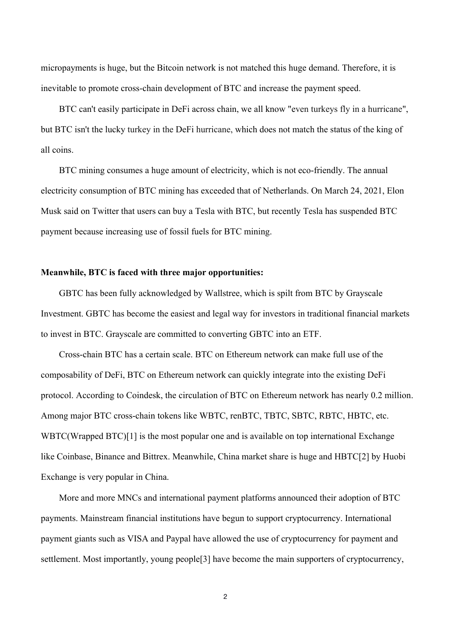micropayments is huge, but the Bitcoin network is not matched this huge demand.Therefore, it is inevitable to promote cross-chain development of BTC and increase the payment speed.

BTC can't easily participate in DeFi across chain, we all know "even turkeys fly in a hurricane", but BTC isn't the lucky turkey in the DeFi hurricane, which does not match the status of the king of all coins.

BTC mining consumes a huge amount of electricity, which is not eco-friendly. The annual electricity consumption of BTC mining has exceeded that of Netherlands. On March 24, 2021, Elon Musk said on Twitter that users can buy a Tesla with BTC, but recently Tesla has suspended BTC payment because increasing use of fossil fuels for BTC mining.

### **Meanwhile, BTC is faced with three major opportunities:**

GBTC has been fully acknowledged by Wallstree, which is spilt from BTC by Grayscale Investment. GBTC has become the easiest and legal way for investors in traditional financial markets to invest in BTC. Grayscale are committed to converting GBTC into an ETF.

Cross-chain BTC has a certain scale. BTC on Ethereum network can make full use of the composability of DeFi, BTC on Ethereum network can quickly integrate into the existing DeFi protocol. According to Coindesk, the circulation of BTC on Ethereum network has nearly 0.2 million. Among major BTC cross-chain tokens like WBTC, renBTC, TBTC, SBTC, RBTC, HBTC, etc. WBTC(Wrapped BTC)[1] is the most popular one and is available on top international Exchange like Coinbase, Binance and Bittrex. Meanwhile, China market share is huge and HBTC[2] by Huobi Exchange is very popular in China.

More and more MNCs and international payment platforms announced their adoption of BTC payments. Mainstream financial institutions have begun to support cryptocurrency. International payment giants such as VISA and Paypal have allowed the use of cryptocurrency for payment and settlement. Most importantly, young people[3] have become the main supporters of cryptocurrency,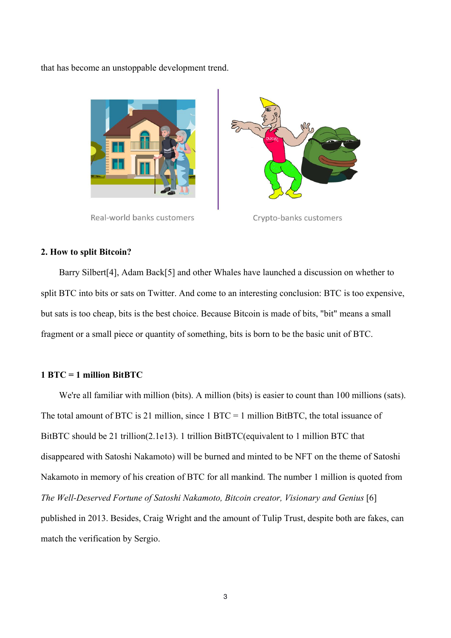that has become an unstoppable development trend.



Real-world banks customers



Crypto-banks customers

#### **2. How to split Bitcoin?**

Barry Silbert[4], Adam Back[5] and other Whales have launched a discussion on whether to split BTC into bits or sats on Twitter. And come to an interesting conclusion: BTC is too expensive, but sats is too cheap, bits is the best choice. Because Bitcoin is made of bits, "bit" means a small fragment or a small piece or quantity of something, bits is born to be the basic unit of BTC.

## **1 BTC = 1 million BitBTC**

We're all familiar with million (bits). A million (bits) is easier to count than 100 millions (sats).<br>The total amount of BTC is 21 million, since  $1 BTC = 1$  million BitBTC, the total issuance of BitBTC should be 21 trillion(2.1e13). 1 [trillion](http://www.baidu.com/link?url=KLZYZEjmv11wxyq25KSZdRnkjSGCV7Z_v5RXMHmcAToSBxiv30tv5ocJZATEJcx92AskPcNLTJDdOGrsaOYk2Q9i3v7bOjTR93g5veBlpPa) BitBTC(equivalent to 1 million BTC that disappeared with Satoshi Nakamoto) will be burned and minted to be NFT on the theme of Satoshi Nakamoto in memory of his creation of BTC for all mankind. The number 1 million is quoted from *The Well-Deserved Fortune of Satoshi Nakamoto, Bitcoin creator, Visionary and Genius* [6] published in 2013. Besides, Craig Wright and the amount of Tulip Trust, despite both are fakes, can match the verification by Sergio.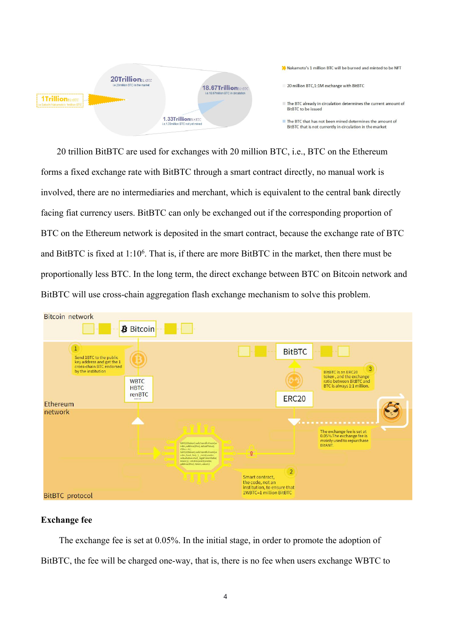

20 [trillion](http://www.baidu.com/link?url=KLZYZEjmv11wxyq25KSZdRnkjSGCV7Z_v5RXMHmcAToSBxiv30tv5ocJZATEJcx92AskPcNLTJDdOGrsaOYk2Q9i3v7bOjTR93g5veBlpPa) BitBTC are used for exchanges with 20 million BTC, i.e., BTC on the Ethereum forms a fixed exchange rate with BitBTC through a smart contract directly, no manual work is involved, there are no intermediaries and merchant, which is equivalent to the central bank directly facing fiat currency users. BitBTC can only be exchanged out if the corresponding proportion of BTC on the Ethereum network is deposited in the smart contract, because the exchange rate of BTC and BitBTC is fixed at  $1:10^6$ . That is, if there are more BitBTC in the market, then there must be proportionally less BTC. In the long term, the direct exchange between BTC on Bitcoin network and BitBTC will use cross-chain aggregation flash exchange mechanism to solve this problem.



## **Exchange fee**

The exchange fee is set at 0.05%. In the initial stage, in order to promote the adoption of BitBTC, the fee will be charged one-way, that is, there is no fee when users exchange WBTC to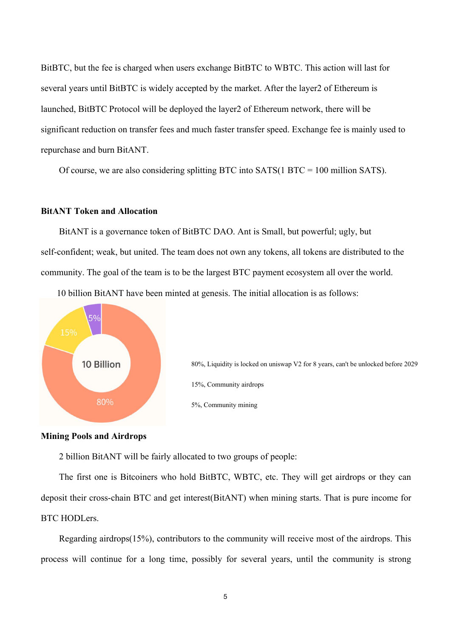BitBTC, but the fee is charged when users exchange BitBTC to WBTC. This action will last for several years until BitBTC is widely accepted by the market. After the layer2 of Ethereum is launched, BitBTC Protocol will be deployed the layer2 of Ethereum network, there will be significant reduction on transfer fees and much faster transfer speed. Exchange fee is mainly used to repurchase and burn BitANT.

Of course, we are also considering splitting BTC into SATS(1 BTC = 100 million SATS).

## **BitANT Token and Allocation**

BitANT is a governance token of BitBTC DAO. Ant is Small, but powerful; ugly, but self-confident; weak, but united. The team does not own any tokens, all tokens are distributed to the community. The goal of the team is to be the largest BTC payment ecosystem all over the world.

10 [billion](http://www.baidu.com/link?url=KLZYZEjmv11wxyq25KSZdRnkjSGCV7Z_v5RXMHmcAToSBxiv30tv5ocJZATEJcx92AskPcNLTJDdOGrsaOYk2Q9i3v7bOjTR93g5veBlpPa) BitANT have been minted at genesis. The initial allocation is as follows:



80%, Liquidity is locked on uniswap V2 for 8 years, can't be unlocked before 2029 15%, Community airdrops 5%, Community mining

### **Mining Pools and Airdrops**

2 billion BitANT will be fairly allocated to two groups of people:

The first one is Bitcoiners who hold BitBTC, WBTC, etc. They will get airdrops or they can deposit their cross-chain BTC and get interest(BitANT) when mining starts. That is pure income for BTC HODLers.

Regarding airdrops(15%), contributors to the community will receive most of the airdrops. This process will continue for a long time, possibly for several years, until the community is strong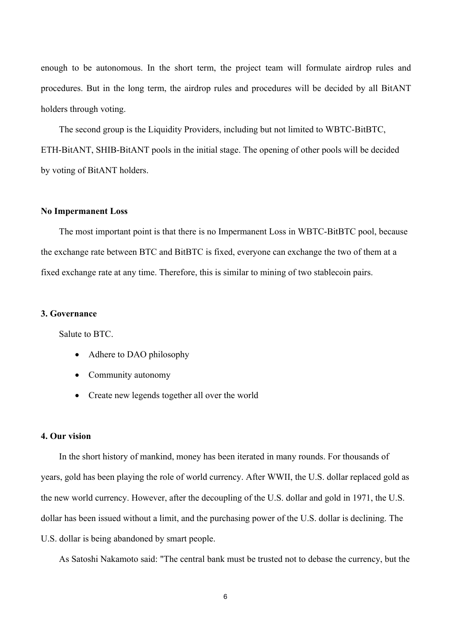enough to be autonomous. In the short term, the project team will formulate airdrop rules and procedures. But in the long term, the airdrop rules and procedures will be decided by all BitANT holders through voting.

The second group is the Liquidity Providers, including but not limited to WBTC-BitBTC, ETH-BitANT, SHIB-BitANT pools in the initial stage. The opening of other pools will be decided by voting of BitANT holders.

## **No Impermanent Loss**

The most important point is that there is no Impermanent Loss in WBTC-BitBTC pool, because the exchange rate between BTC and BitBTC is fixed, everyone can exchange the two of them at a fixed exchange rate at any time. Therefore, this is similar to mining of two stablecoin pairs.

## **3. Governance**

Salute to BTC.

- Adhere to DAO philosophy
- Community autonomy
- Create new legends together all over the world

## **4. Our vision**

In the short history of mankind, money has been iterated in many rounds. For thousands of years, gold has been playing the role of world currency. After WWII, the U.S. dollar replaced gold as the new world currency. However, after the decoupling of the U.S. dollar and gold in 1971, the U.S. dollar has been issued without a limit, and the purchasing power of the U.S. dollar is declining. The U.S. dollar is being abandoned by smart people.

As Satoshi Nakamoto said: "The central bank must be trusted not to debase the currency, but the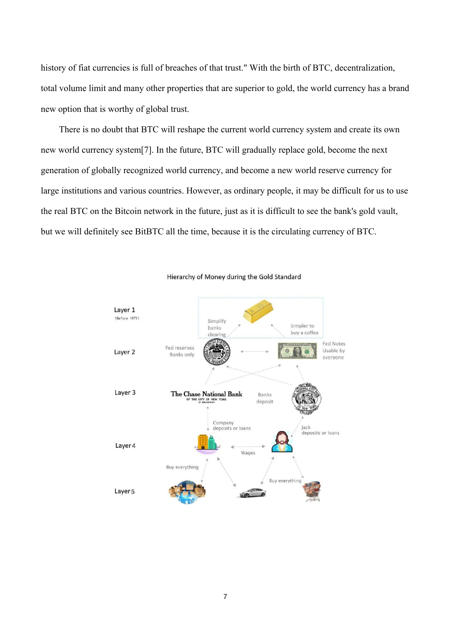history of fiat currencies is full of breaches of that trust." With the birth of BTC, decentralization, total volume limit and many other properties that are superior to gold, the world currency has a brand new option that is worthy of global trust.

There is no doubt that BTC will reshape the current world currency system and create its own new world currency system[7]. In the future, BTC will gradually replace gold, become the next generation of globally recognized world currency, and become a new world reserve currency for large institutions and various countries. However, as ordinary people, it may be difficult for us to use the real BTC on the Bitcoin network in the future, just as it is difficult to see the bank's gold vault, but we will definitely see BitBTC all the time, because it is the circulating currency of BTC.



Hierarchy of Money during the Gold Standard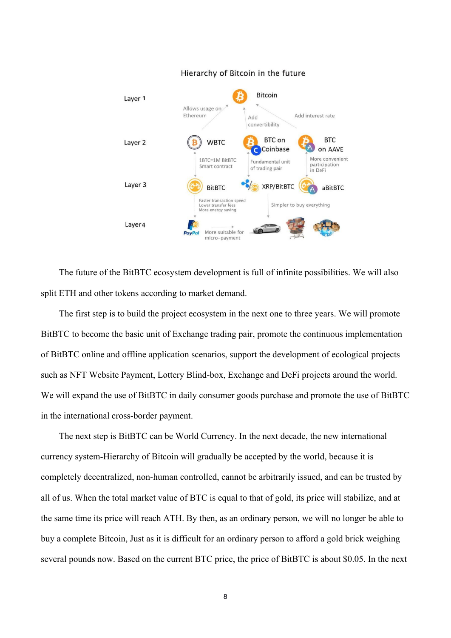

#### Hierarchy of Bitcoin in the future

The future of the BitBTC ecosystem development is full of infinite possibilities. We will also split ETH and other tokens according to market demand.

The first step is to build the project ecosystem in the next one to three years. We will promote BitBTC to become the basic unit of Exchange trading pair, promote the continuous implementation of BitBTC online and offline application scenarios, support the development of ecological projects such as NFT Website Payment, Lottery Blind-box, Exchange and DeFi projects around the world. We will expand the use of BitBTC in daily consumer goods purchase and promote the use of BitBTC in the international cross-border payment.

The next step is BitBTC can be World Currency. In the next decade, the new international currency system-Hierarchy of Bitcoin will gradually be accepted by the world, because it is completely decentralized, non-human controlled, cannot be arbitrarily issued, and can be trusted by all of us. When the total market value of BTC is equal to that of gold, its price will stabilize, and at the same time its price will reach ATH. By then, as an ordinary person, we will no longer be able to buy a complete Bitcoin, Just as it is difficult for an ordinary person to afford a gold brick weighing several pounds now. Based on the current BTC price, the price of BitBTC is about \$0.05. In the next